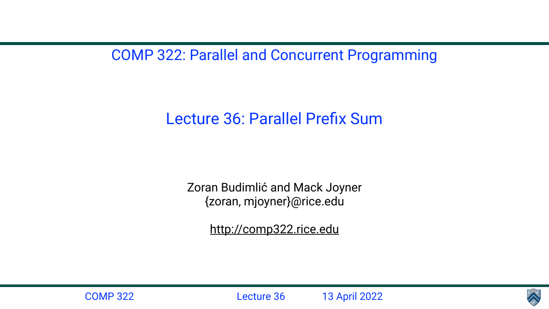COMP 322: Parallel and Concurrent Programming

Lecture 36: Parallel Prefix Sum

Zoran Budimlić and Mack Joyner {zoran, mjoyner}@rice.edu

<http://comp322.rice.edu>



COMP 322 Lecture 36 13 April 2022

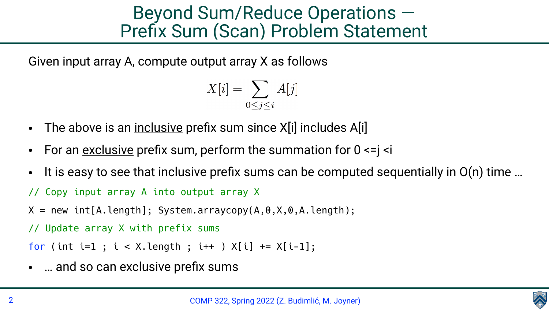## Beyond Sum/Reduce Operations — Prefix Sum (Scan) Problem Statement

Given input array A, compute output array X as follows

- $X[i] = \sum A[j]$  $0 < j < i$
- The above is an inclusive prefix sum since X[i] includes A[i]
- For an <u>exclusive</u> prefix sum, perform the summation for  $0 \le i \le i$
- It is easy to see that inclusive prefix sums can be computed sequentially in  $O(n)$  time ... // Copy input array A into output array X  $X = new int[A.length]; System.arraycopy(A, 0, X, 0, A.length);$ // Update array X with prefix sums for (int i=1;  $i < X$ .length;  $i++$ )  $X[i]$  +=  $X[i-1]$ ;
- ... and so can exclusive prefix sums

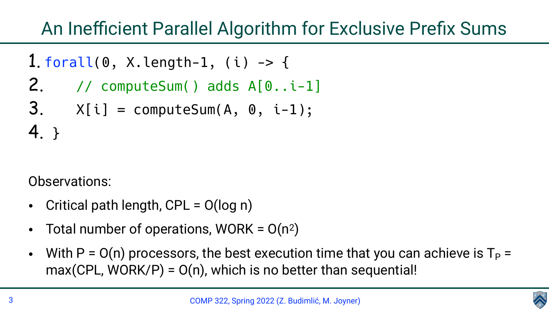

## An Inefficient Parallel Algorithm for Exclusive Prefix Sums

- Critical path length, CPL = O(log n)
- Total number of operations, WORK =  $O(n^2)$
- $max(CPL, WORK/P) = O(n)$ , which is no better than sequential!

1. forall(0, X.length-1, (i) -> { 2. // computeSum() adds A[0..i-1]  $3.$  X[i] = computeSum(A, 0, i-1); 4. }

Observations:

• With  $P = O(n)$  processors, the best execution time that you can achieve is  $T_P =$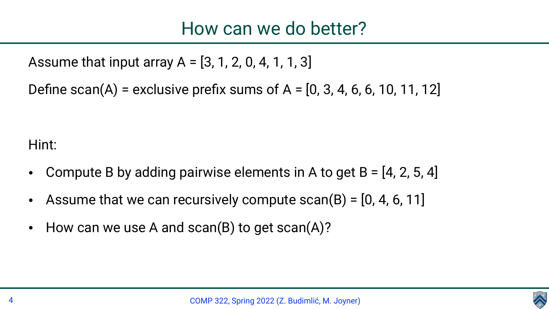Assume that input array  $A = [3, 1, 2, 0, 4, 1, 1, 3]$ Define scan(A) = exclusive prefix sums of  $A = [0, 3, 4, 6, 6, 10, 11, 12]$ 

COMP 322, Spring 2022 (Z. Budimlić, M. Joyner)



## How can we do better?

Hint:

- Compute B by adding pairwise elements in A to get  $B = [4, 2, 5, 4]$ Assume that we can recursively compute  $scan(B) = [0, 4, 6, 11]$
- 
- How can we use A and scan(B) to get scan(A)?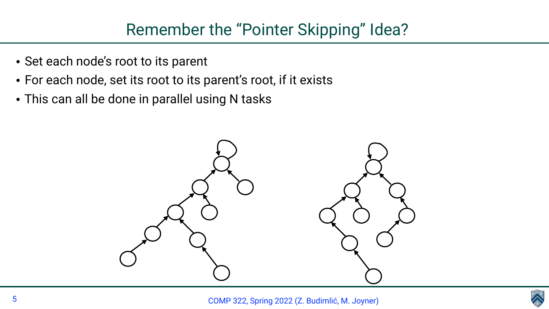

## Remember the "Pointer Skipping" Idea?



- Set each node's root to its parent
- For each node, set its root to its parent's root, if it exists
- This can all be done in parallel using N tasks

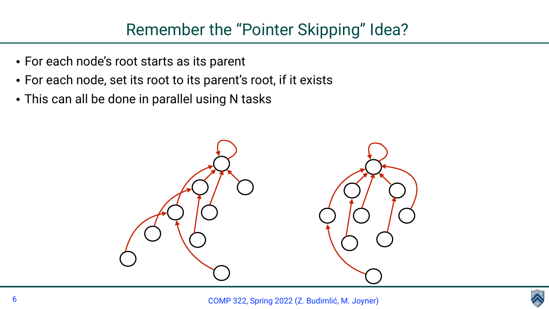

- For each node's root starts as its parent
- For each node, set its root to its parent's root, if it exists
- This can all be done in parallel using N tasks



## Remember the "Pointer Skipping" Idea?

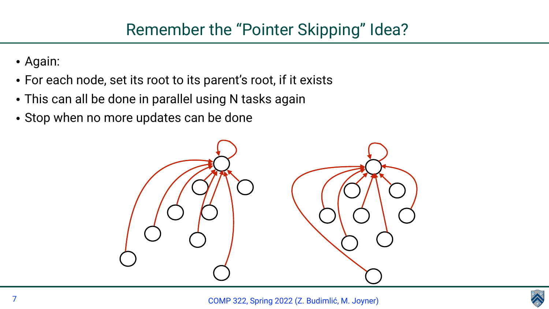

- Again:
- For each node, set its root to its parent's root, if it exists
- This can all be done in parallel using N tasks again
- Stop when no more updates can be done



## Remember the "Pointer Skipping" Idea?

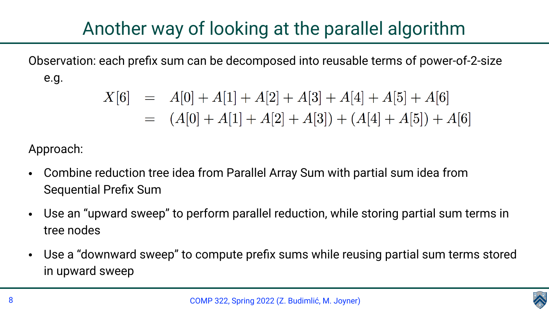

## Another way of looking at the parallel algorithm

Observation: each prefix sum can be decomposed into reusable terms of power-of-2-size

e.g.

 $X[6] = A[0] + A[1] + A[2] + A[3] + A[4] + A[5] + A[6]$  $= (A[0] + A[1] + A[2] + A[3]) + (A[4] + A[5]) + A[6]$ 

Approach:

- Combine reduction tree idea from Parallel Array Sum with partial sum idea from Sequential Prefix Sum
- Use an "upward sweep" to perform parallel reduction, while storing partial sum terms in tree nodes
- Use a "downward sweep" to compute prefix sums while reusing partial sum terms stored in upward sweep

COMP 322, Spring 2022 (Z. Budimlić, M. Joyner)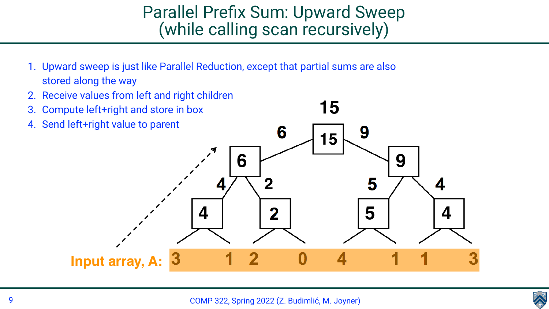

# Parallel Prefix Sum: Upward Sweep (while calling scan recursively)

- 1. Upward sweep is just like Parallel Reduction, except that partial sums are also stored along the way
- 2. Receive values from left and right children
- 3. Compute left+right and store in box
- 4. Send left+right value to parent

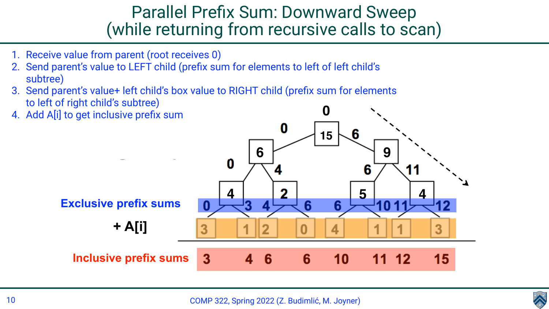

- 1. Receive value from parent (root receives 0)
- 2. Send parent's value to LEFT child (prefix sum for elements to left of left child's subtree)
- 3. Send parent's value+ left child's box value to RIGHT child (prefix sum for elements to left of right child's subtree)
- 4. Add A[i] to get inclusive prefix sum

# Parallel Prefix Sum: Downward Sweep (while returning from recursive calls to scan)

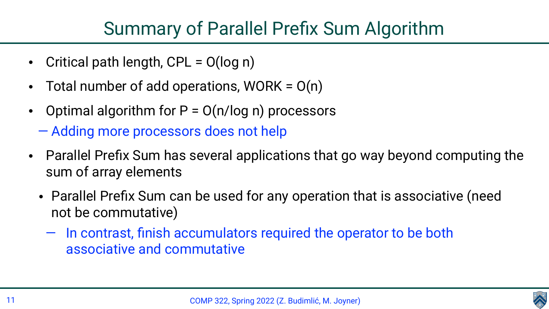



- Critical path length,  $CPL = O(log n)$
- Total number of add operations, WORK =  $O(n)$
- Optimal algorithm for  $P = O(n/log n)$  processors — Adding more processors does not help
- Parallel Prefix Sum has several applications that go way beyond computing the sum of array elements
	- Parallel Prefix Sum can be used for any operation that is associative (need not be commutative)
		- In contrast, finish accumulators required the operator to be both associative and commutative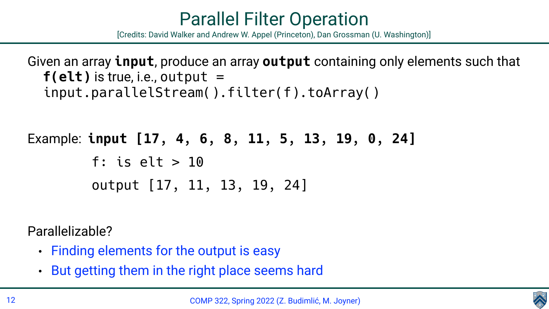



 $f(\text{elt})$  is true, i.e., output  $=$ input.parallelStream().filter(f).toArray()

- Given an array **input**, produce an array **output** containing only elements such that
	-

Example: **input [17, 4, 6, 8, 11, 5, 13, 19, 0, 24]** f: is elt > 10 output [17, 11, 13, 19, 24]

### Parallelizable?

- Finding elements for the output is easy
- But getting them in the right place seems hard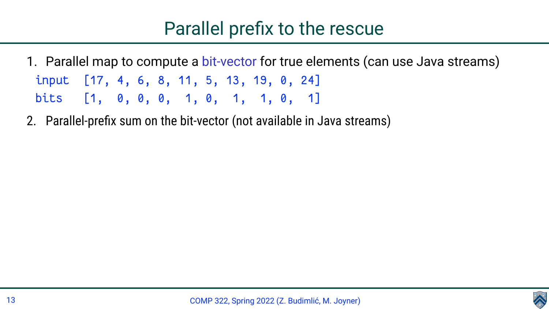- 1. Parallel map to compute a bit-vector for true elements (can use Java streams) input [17, 4, 6, 8, 11, 5, 13, 19, 0, 24] bits [1, 0, 0, 0, 1, 0, 1, 1, 0, 1]
- 2. Parallel-prefix sum on the bit-vector (not available in Java streams)

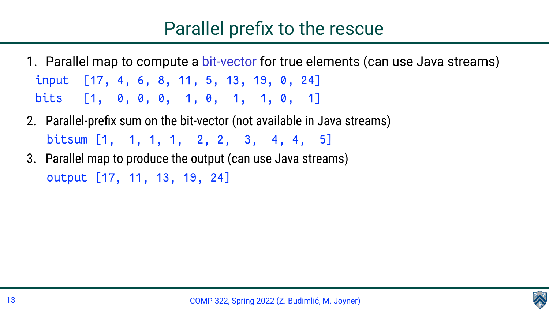- 1. Parallel map to compute a bit-vector for true elements (can use Java streams) input [17, 4, 6, 8, 11, 5, 13, 19, 0, 24] bits [1, 0, 0, 0, 1, 0, 1, 1, 0, 1]
- 2. Parallel-prefix sum on the bit-vector (not available in Java streams) bitsum [1, 1, 1, 1, 2, 2, 3, 4, 4, 5]
- 3. Parallel map to produce the output (can use Java streams) output [17, 11, 13, 19, 24]

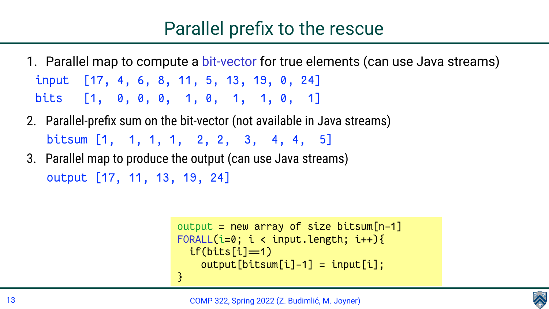

```
output = new array of size bitsum[n-1]
FORALL(i=0; i < input.length; i++){
  if(bits[i] = 1)output[bitsum[i]-1] = input[i];}<br>}
```
- 1. Parallel map to compute a bit-vector for true elements (can use Java streams) input [17, 4, 6, 8, 11, 5, 13, 19, 0, 24] bits [1, 0, 0, 0, 1, 0, 1, 1, 0, 1]
- 2. Parallel-prefix sum on the bit-vector (not available in Java streams) bitsum [1, 1, 1, 1, 2, 2, 3, 4, 4, 5]
- 3. Parallel map to produce the output (can use Java streams) output [17, 11, 13, 19, 24]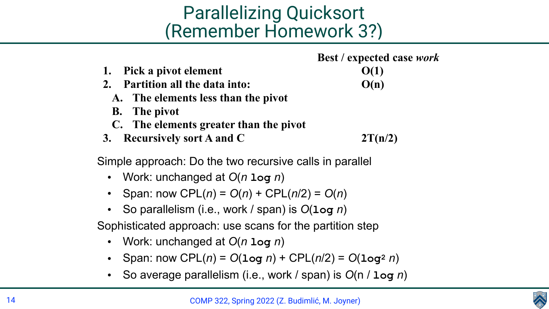

# Parallelizing Quicksort (Remember Homework 3?)

# **Best / expected case** *work*

- 
- 

- 1. Pick a pivot element  $O(1)$
- **2. Partition all the data into: O(n)**
	- **A. The elements less than the pivot**
	- **B. The pivot**
	- **C. The elements greater than the pivot**
- **3. Recursively sort A and C 2T(n/2)**

Simple approach: Do the two recursive calls in parallel

- Work: unchanged at *O*(*n* **log** *n*)
- **Span:** now CPL(*n*) =  $O(n)$  + CPL(*n*/2) =  $O(n)$
- So parallelism (i.e., work / span) is *O*(**log** *n*)

Sophisticated approach: use scans for the partition step

- Work: unchanged at *O*(*n* **log** *n*)
- Span: now CPL(*n*) = *O*(**log** *n*) + CPL(*n*/2) = *O*(**log2** *n*)
- So average parallelism (i.e., work / span) is *O*(n / **log** *n*)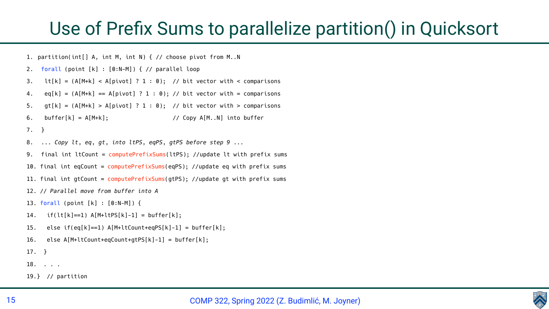

## Use of Prefix Sums to parallelize partition() in Quicksort

```
1. partition(int[] A, int M, int N) { // choose pivot from M..N
2. forall (point [k] : [0:N-M]) { // parallel loop
3. Lt[k] = (A[M+k] < A[pivot] ? 1 : 0); // bit vector with < comparisons
4. eq[k] = (A[M+k] == A[pivot] ? 1 : 0); // bit vector with = comparisons5. gt[k] = (A[M+k] > A[pivot] ? 1 : 0); // bit vector with > comparisons
6. buffer[k] = A[M+k]; // Copy A[M..N] into buffer
7. }
8. ... Copy lt, eq, gt, into ltPS, eqPS, gtPS before step 9 ...
9. final int ltCount = computePrefixSums(ltPS); //update lt with prefix sums
10. final int eqCount = computePrefixSums(eqPS); //update eq with prefix sums
11. final int gtCount = computePrefixSums(gtPS); //update gt with prefix sums
12. // Parallel move from buffer into A
13. forall (point [k] : [0:N-M]) {
14. if(lt[k]=1) A[M+ltPS[k]-1] = buffer[k];15. else if(eq[k]==1) A[M+ltCount+eqPS[k]-1] = buffer[k];
16. else A[M+ltCount+eqCount+gtPS[k]-1] = buffer[k];
17. }
18. . . .
19.} // partition
```
- 
- 
- 
- 
- 
- 
-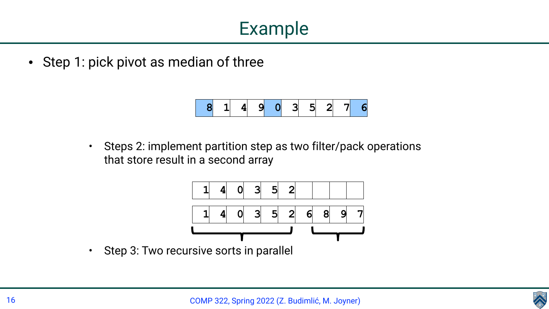

## Example

• Step 1: pick pivot as median of three



• Steps 2: implement partition step as two filter/pack operations that store result in a second array



• Step 3: Two recursive sorts in parallel